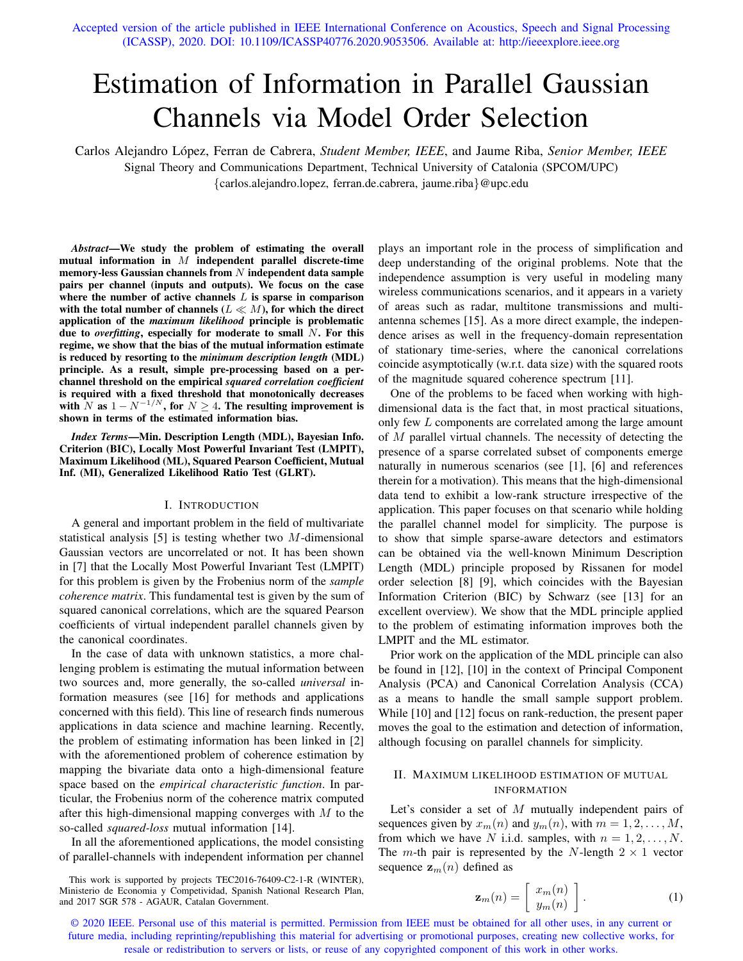Accepted version of the article published in IEEE International Conference on Acoustics, Speech and Signal Processing (ICASSP), 2020. DOI: 10.1109/ICASSP40776.2020.9053506. Available at: http://ieeexplore.ieee.org

# Estimation of Information in Parallel Gaussian Channels via Model Order Selection

Carlos Alejandro Lopez, Ferran de Cabrera, ´ *Student Member, IEEE*, and Jaume Riba, *Senior Member, IEEE* Signal Theory and Communications Department, Technical University of Catalonia (SPCOM/UPC) {carlos.alejandro.lopez, ferran.de.cabrera, jaume.riba}@upc.edu

*Abstract*—We study the problem of estimating the overall mutual information in  $M$  independent parallel discrete-time memory-less Gaussian channels from  $N$  independent data sample pairs per channel (inputs and outputs). We focus on the case where the number of active channels  $L$  is sparse in comparison with the total number of channels ( $L \ll M$ ), for which the direct application of the *maximum likelihood* principle is problematic due to *overfitting*, especially for moderate to small N. For this regime, we show that the bias of the mutual information estimate is reduced by resorting to the *minimum description length* (MDL) principle. As a result, simple pre-processing based on a perchannel threshold on the empirical *squared correlation coefficient* is required with a fixed threshold that monotonically decreases with N as  $1 - N^{-1/N}$ , for  $N \ge 4$ . The resulting improvement is shown in terms of the estimated information bias.

*Index Terms*—Min. Description Length (MDL), Bayesian Info. Criterion (BIC), Locally Most Powerful Invariant Test (LMPIT), Maximum Likelihood (ML), Squared Pearson Coefficient, Mutual Inf. (MI), Generalized Likelihood Ratio Test (GLRT).

#### I. INTRODUCTION

A general and important problem in the field of multivariate statistical analysis [5] is testing whether two M-dimensional Gaussian vectors are uncorrelated or not. It has been shown in [7] that the Locally Most Powerful Invariant Test (LMPIT) for this problem is given by the Frobenius norm of the *sample coherence matrix*. This fundamental test is given by the sum of squared canonical correlations, which are the squared Pearson coefficients of virtual independent parallel channels given by the canonical coordinates.

In the case of data with unknown statistics, a more challenging problem is estimating the mutual information between two sources and, more generally, the so-called *universal* information measures (see [16] for methods and applications concerned with this field). This line of research finds numerous applications in data science and machine learning. Recently, the problem of estimating information has been linked in [2] with the aforementioned problem of coherence estimation by mapping the bivariate data onto a high-dimensional feature space based on the *empirical characteristic function*. In particular, the Frobenius norm of the coherence matrix computed after this high-dimensional mapping converges with  $M$  to the so-called *squared-loss* mutual information [14].

In all the aforementioned applications, the model consisting of parallel-channels with independent information per channel

This work is supported by projects TEC2016-76409-C2-1-R (WINTER), Ministerio de Economia y Competividad, Spanish National Research Plan, and 2017 SGR 578 - AGAUR, Catalan Government.

plays an important role in the process of simplification and deep understanding of the original problems. Note that the independence assumption is very useful in modeling many wireless communications scenarios, and it appears in a variety of areas such as radar, multitone transmissions and multiantenna schemes [15]. As a more direct example, the independence arises as well in the frequency-domain representation of stationary time-series, where the canonical correlations coincide asymptotically (w.r.t. data size) with the squared roots of the magnitude squared coherence spectrum [11].

One of the problems to be faced when working with highdimensional data is the fact that, in most practical situations, only few L components are correlated among the large amount of M parallel virtual channels. The necessity of detecting the presence of a sparse correlated subset of components emerge naturally in numerous scenarios (see [1], [6] and references therein for a motivation). This means that the high-dimensional data tend to exhibit a low-rank structure irrespective of the application. This paper focuses on that scenario while holding the parallel channel model for simplicity. The purpose is to show that simple sparse-aware detectors and estimators can be obtained via the well-known Minimum Description Length (MDL) principle proposed by Rissanen for model order selection [8] [9], which coincides with the Bayesian Information Criterion (BIC) by Schwarz (see [13] for an excellent overview). We show that the MDL principle applied to the problem of estimating information improves both the LMPIT and the ML estimator.

Prior work on the application of the MDL principle can also be found in [12], [10] in the context of Principal Component Analysis (PCA) and Canonical Correlation Analysis (CCA) as a means to handle the small sample support problem. While [10] and [12] focus on rank-reduction, the present paper moves the goal to the estimation and detection of information, although focusing on parallel channels for simplicity.

# II. MAXIMUM LIKELIHOOD ESTIMATION OF MUTUAL INFORMATION

Let's consider a set of  $M$  mutually independent pairs of sequences given by  $x_m(n)$  and  $y_m(n)$ , with  $m = 1, 2, \dots, M$ , from which we have N i.i.d. samples, with  $n = 1, 2, \ldots, N$ . The *m*-th pair is represented by the *N*-length  $2 \times 1$  vector sequence  $z_m(n)$  defined as

$$
\mathbf{z}_m(n) = \left[ \begin{array}{c} x_m(n) \\ y_m(n) \end{array} \right]. \tag{1}
$$

© 2020 IEEE. Personal use of this material is permitted. Permission from IEEE must be obtained for all other uses, in any current or future media, including reprinting/republishing this material for advertising or promotional purposes, creating new collective works, for resale or redistribution to servers or lists, or reuse of any copyrighted component of this work in other works.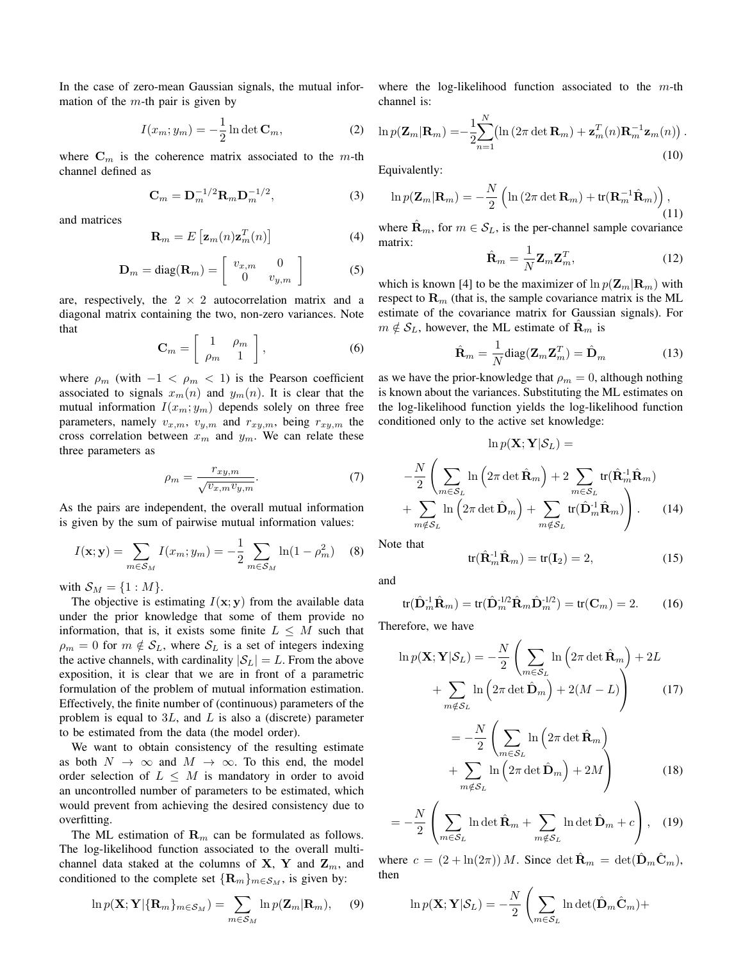In the case of zero-mean Gaussian signals, the mutual information of the  $m$ -th pair is given by

$$
I(x_m; y_m) = -\frac{1}{2} \ln \det \mathbf{C}_m,
$$
 (2)

where  $\mathbf{C}_m$  is the coherence matrix associated to the m-th channel defined as

$$
\mathbf{C}_m = \mathbf{D}_m^{-1/2} \mathbf{R}_m \mathbf{D}_m^{-1/2},\tag{3}
$$

and matrices

$$
\mathbf{R}_m = E\left[\mathbf{z}_m(n)\mathbf{z}_m^T(n)\right]
$$
 (4)

$$
\mathbf{D}_m = \text{diag}(\mathbf{R}_m) = \begin{bmatrix} v_{x,m} & 0\\ 0 & v_{y,m} \end{bmatrix}
$$
 (5)

are, respectively, the  $2 \times 2$  autocorrelation matrix and a diagonal matrix containing the two, non-zero variances. Note that

$$
\mathbf{C}_m = \left[ \begin{array}{cc} 1 & \rho_m \\ \rho_m & 1 \end{array} \right],\tag{6}
$$

where  $\rho_m$  (with  $-1 < \rho_m < 1$ ) is the Pearson coefficient associated to signals  $x_m(n)$  and  $y_m(n)$ . It is clear that the mutual information  $I(x_m; y_m)$  depends solely on three free parameters, namely  $v_{x,m}$ ,  $v_{y,m}$  and  $r_{xy,m}$ , being  $r_{xy,m}$  the cross correlation between  $x_m$  and  $y_m$ . We can relate these three parameters as

$$
\rho_m = \frac{r_{xy,m}}{\sqrt{v_{x,m}v_{y,m}}}.\tag{7}
$$

As the pairs are independent, the overall mutual information is given by the sum of pairwise mutual information values:

$$
I(\mathbf{x}; \mathbf{y}) = \sum_{m \in \mathcal{S}_M} I(x_m; y_m) = -\frac{1}{2} \sum_{m \in \mathcal{S}_M} \ln(1 - \rho_m^2) \quad (8)
$$

with  $S_M = \{1 : M\}.$ 

The objective is estimating  $I(x; y)$  from the available data under the prior knowledge that some of them provide no information, that is, it exists some finite  $L \leq M$  such that  $\rho_m = 0$  for  $m \notin \mathcal{S}_L$ , where  $\mathcal{S}_L$  is a set of integers indexing the active channels, with cardinality  $|\mathcal{S}_L| = L$ . From the above exposition, it is clear that we are in front of a parametric formulation of the problem of mutual information estimation. Effectively, the finite number of (continuous) parameters of the problem is equal to  $3L$ , and L is also a (discrete) parameter to be estimated from the data (the model order).

We want to obtain consistency of the resulting estimate as both  $N \to \infty$  and  $M \to \infty$ . To this end, the model order selection of  $L \leq M$  is mandatory in order to avoid an uncontrolled number of parameters to be estimated, which would prevent from achieving the desired consistency due to overfitting.

The ML estimation of  $\mathbf{R}_m$  can be formulated as follows. The log-likelihood function associated to the overall multichannel data staked at the columns of **X**, **Y** and  $\mathbf{Z}_m$ , and conditioned to the complete set  $\{R_m\}_{m \in S_M}$ , is given by:

$$
\ln p(\mathbf{X}; \mathbf{Y} | \{\mathbf{R}_m\}_{m \in \mathcal{S}_M}) = \sum_{m \in \mathcal{S}_M} \ln p(\mathbf{Z}_m | \mathbf{R}_m), \quad (9)
$$

where the log-likelihood function associated to the  $m$ -th channel is:

$$
\ln p(\mathbf{Z}_m|\mathbf{R}_m) = -\frac{1}{2} \sum_{n=1}^N \bigl( \ln \left( 2\pi \det \mathbf{R}_m \right) + \mathbf{z}_m^T(n) \mathbf{R}_m^{-1} \mathbf{z}_m(n) \bigr) .
$$
\n(10)

Equivalently:

$$
\ln p(\mathbf{Z}_m|\mathbf{R}_m) = -\frac{N}{2} \left( \ln \left( 2\pi \det \mathbf{R}_m \right) + \text{tr}(\mathbf{R}_m^{-1} \hat{\mathbf{R}}_m) \right),\tag{11}
$$

where  $\mathbf{R}_m$ , for  $m \in S_L$ , is the per-channel sample covariance matrix:

$$
\hat{\mathbf{R}}_m = \frac{1}{N} \mathbf{Z}_m \mathbf{Z}_m^T, \tag{12}
$$

which is known [4] to be the maximizer of  $\ln p(\mathbf{Z}_m|\mathbf{R}_m)$  with respect to  $\mathbf{R}_m$  (that is, the sample covariance matrix is the ML estimate of the covariance matrix for Gaussian signals). For  $m \notin S_L$ , however, the ML estimate of  $\mathbf{R}_m$  is

$$
\hat{\mathbf{R}}_m = \frac{1}{N} \text{diag}(\mathbf{Z}_m \mathbf{Z}_m^T) = \hat{\mathbf{D}}_m \tag{13}
$$

as we have the prior-knowledge that  $\rho_m = 0$ , although nothing is known about the variances. Substituting the ML estimates on the log-likelihood function yields the log-likelihood function conditioned only to the active set knowledge:

$$
\ln p(\mathbf{X}; \mathbf{Y} | \mathcal{S}_L) =
$$

$$
-\frac{N}{2} \left( \sum_{m \in \mathcal{S}_L} \ln \left( 2\pi \det \hat{\mathbf{R}}_m \right) + 2 \sum_{m \in \mathcal{S}_L} \text{tr}(\hat{\mathbf{R}}_m^{-1} \hat{\mathbf{R}}_m)
$$

$$
+ \sum_{m \notin \mathcal{S}_L} \ln \left( 2\pi \det \hat{\mathbf{D}}_m \right) + \sum_{m \notin \mathcal{S}_L} \text{tr}(\hat{\mathbf{D}}_m^{-1} \hat{\mathbf{R}}_m) \right). \tag{14}
$$

Note that

$$
\operatorname{tr}(\hat{\mathbf{R}}_m^{-1}\hat{\mathbf{R}}_m) = \operatorname{tr}(\mathbf{I}_2) = 2,\tag{15}
$$

and

$$
\operatorname{tr}(\hat{\mathbf{D}}_m^{-1}\hat{\mathbf{R}}_m) = \operatorname{tr}(\hat{\mathbf{D}}_m^{-1/2}\hat{\mathbf{R}}_m\hat{\mathbf{D}}_m^{-1/2}) = \operatorname{tr}(\mathbf{C}_m) = 2. \tag{16}
$$

Therefore, we have

$$
\ln p(\mathbf{X}; \mathbf{Y} | \mathcal{S}_L) = -\frac{N}{2} \left( \sum_{m \in \mathcal{S}_L} \ln \left( 2\pi \det \hat{\mathbf{R}}_m \right) + 2L + \sum_{m \notin \mathcal{S}_L} \ln \left( 2\pi \det \hat{\mathbf{D}}_m \right) + 2(M - L) \right)
$$
(17)

$$
= -\frac{N}{2} \left( \sum_{m \in S_L} \ln \left( 2\pi \det \hat{\mathbf{R}}_m \right) + \sum_{m \notin S_L} \ln \left( 2\pi \det \hat{\mathbf{D}}_m \right) + 2M \right)
$$
(18)

$$
= -\frac{N}{2} \left( \sum_{m \in \mathcal{S}_L} \ln \det \hat{\mathbf{R}}_m + \sum_{m \notin \mathcal{S}_L} \ln \det \hat{\mathbf{D}}_m + c \right), \quad (19)
$$

where  $c = (2 + \ln(2\pi)) M$ . Since  $\det \mathbf{R}_m = \det(\mathbf{D}_m \mathbf{C}_m)$ , then

$$
\ln p(\mathbf{X}; \mathbf{Y} | \mathcal{S}_L) = -\frac{N}{2} \left( \sum_{m \in \mathcal{S}_L} \ln \det(\hat{\mathbf{D}}_m \hat{\mathbf{C}}_m) + \right)
$$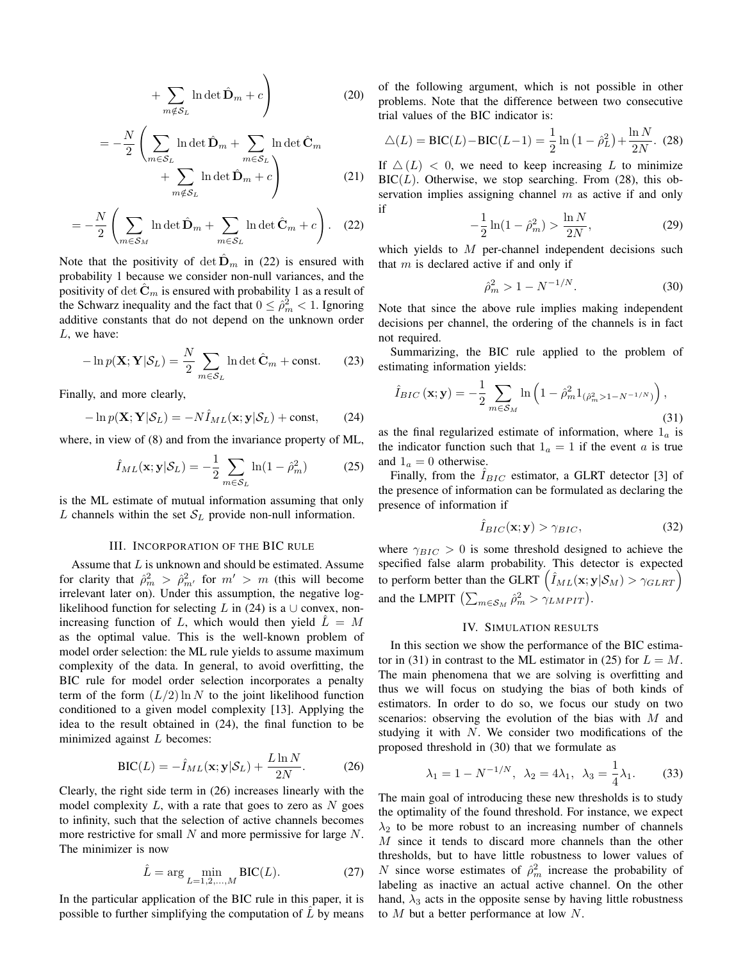$$
+\sum_{m \notin \mathcal{S}_L} \ln \det \hat{\mathbf{D}}_m + c\Bigg)
$$
 (20)

$$
= -\frac{N}{2} \left( \sum_{m \in S_L} \ln \det \hat{\mathbf{D}}_m + \sum_{m \in S_L} \ln \det \hat{\mathbf{C}}_m + \sum_{m \notin S_L} \ln \det \hat{\mathbf{D}}_m + c \right)
$$
(21)

$$
= -\frac{N}{2} \left( \sum_{m \in \mathcal{S}_M} \ln \det \hat{\mathbf{D}}_m + \sum_{m \in \mathcal{S}_L} \ln \det \hat{\mathbf{C}}_m + c \right). \quad (22)
$$

Note that the positivity of  $\det \hat{D}_m$  in (22) is ensured with probability 1 because we consider non-null variances, and the positivity of det  $\tilde{\mathbf{C}}_m$  is ensured with probability 1 as a result of the Schwarz inequality and the fact that  $0 \leq \hat{\rho}_m^2 < 1$ . Ignoring additive constants that do not depend on the unknown order L, we have:

$$
-\ln p(\mathbf{X}; \mathbf{Y} | \mathcal{S}_L) = \frac{N}{2} \sum_{m \in \mathcal{S}_L} \ln \det \hat{\mathbf{C}}_m + \text{const.}
$$
 (23)

Finally, and more clearly,

$$
-\ln p(\mathbf{X}; \mathbf{Y} | \mathcal{S}_L) = -N \hat{I}_{ML}(\mathbf{x}; \mathbf{y} | \mathcal{S}_L) + \text{const}, \qquad (24)
$$

where, in view of (8) and from the invariance property of ML,

$$
\hat{I}_{ML}(\mathbf{x}; \mathbf{y} | \mathcal{S}_L) = -\frac{1}{2} \sum_{m \in \mathcal{S}_L} \ln(1 - \hat{\rho}_m^2)
$$
(25)

is the ML estimate of mutual information assuming that only L channels within the set  $S_L$  provide non-null information.

### III. INCORPORATION OF THE BIC RULE

Assume that  $L$  is unknown and should be estimated. Assume for clarity that  $\hat{\rho}_m^2 > \hat{\rho}_{m'}^2$  for  $m' > m$  (this will become irrelevant later on). Under this assumption, the negative loglikelihood function for selecting L in (24) is a  $\cup$  convex, nonincreasing function of L, which would then yield  $\hat{L} = M$ as the optimal value. This is the well-known problem of model order selection: the ML rule yields to assume maximum complexity of the data. In general, to avoid overfitting, the BIC rule for model order selection incorporates a penalty term of the form  $(L/2) \ln N$  to the joint likelihood function conditioned to a given model complexity [13]. Applying the idea to the result obtained in (24), the final function to be minimized against  $L$  becomes:

$$
BIC(L) = -\hat{I}_{ML}(\mathbf{x}; \mathbf{y}|\mathcal{S}_L) + \frac{L \ln N}{2N}.
$$
 (26)

Clearly, the right side term in (26) increases linearly with the model complexity  $L$ , with a rate that goes to zero as  $N$  goes to infinity, such that the selection of active channels becomes more restrictive for small  $N$  and more permissive for large  $N$ . The minimizer is now

$$
\hat{L} = \arg \min_{L=1,2,...,M} \text{BIC}(L). \tag{27}
$$

In the particular application of the BIC rule in this paper, it is possible to further simplifying the computation of  $\hat{L}$  by means of the following argument, which is not possible in other problems. Note that the difference between two consecutive trial values of the BIC indicator is:

$$
\triangle(L) = \text{BIC}(L) - \text{BIC}(L-1) = \frac{1}{2} \ln \left( 1 - \hat{\rho}_L^2 \right) + \frac{\ln N}{2N}.
$$
 (28)

If  $\Delta (L) < 0$ , we need to keep increasing L to minimize  $BIC(L)$ . Otherwise, we stop searching. From (28), this observation implies assigning channel  $m$  as active if and only if

$$
-\frac{1}{2}\ln(1-\hat{\rho}_m^2) > \frac{\ln N}{2N},\tag{29}
$$

which yields to  $M$  per-channel independent decisions such that  $m$  is declared active if and only if

$$
\hat{\rho}_m^2 > 1 - N^{-1/N}.\tag{30}
$$

Note that since the above rule implies making independent decisions per channel, the ordering of the channels is in fact not required.

Summarizing, the BIC rule applied to the problem of estimating information yields:

$$
\hat{I}_{BIC}(\mathbf{x}; \mathbf{y}) = -\frac{1}{2} \sum_{m \in S_M} \ln \left( 1 - \hat{\rho}_m^2 \mathbb{1}_{(\hat{\rho}_m^2 > 1 - N^{-1/N})} \right),\tag{31}
$$

as the final regularized estimate of information, where  $1_a$  is the indicator function such that  $1_a = 1$  if the event a is true and  $1_a = 0$  otherwise.

Finally, from the  $\hat{I}_{BIC}$  estimator, a GLRT detector [3] of the presence of information can be formulated as declaring the presence of information if

$$
\hat{I}_{BIC}(\mathbf{x}; \mathbf{y}) > \gamma_{BIC},\tag{32}
$$

where  $\gamma_{BIC} > 0$  is some threshold designed to achieve the specified false alarm probability. This detector is expected to perform better than the GLRT  $(\hat{I}_{ML}(\mathbf{x}; \mathbf{y} | \mathcal{S}_M) > \gamma_{GLRT})$ and the LMPIT  $\left(\sum_{m \in S_M} \hat{\rho}_m^2 > \gamma_{LMPIT}\right)$ .

# IV. SIMULATION RESULTS

In this section we show the performance of the BIC estimator in (31) in contrast to the ML estimator in (25) for  $L = M$ . The main phenomena that we are solving is overfitting and thus we will focus on studying the bias of both kinds of estimators. In order to do so, we focus our study on two scenarios: observing the evolution of the bias with M and studying it with  $N$ . We consider two modifications of the proposed threshold in (30) that we formulate as

$$
\lambda_1 = 1 - N^{-1/N}, \ \lambda_2 = 4\lambda_1, \ \lambda_3 = \frac{1}{4}\lambda_1.
$$
 (33)

The main goal of introducing these new thresholds is to study the optimality of the found threshold. For instance, we expect  $\lambda_2$  to be more robust to an increasing number of channels M since it tends to discard more channels than the other thresholds, but to have little robustness to lower values of N since worse estimates of  $\hat{\rho}_m^2$  increase the probability of labeling as inactive an actual active channel. On the other hand,  $\lambda_3$  acts in the opposite sense by having little robustness to M but a better performance at low N.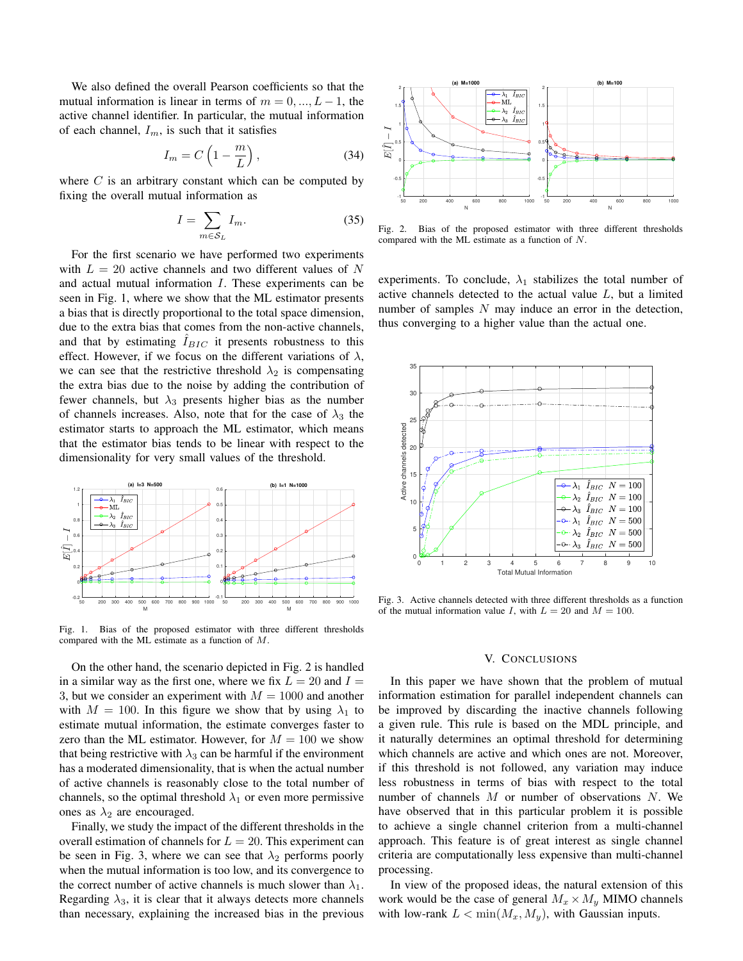We also defined the overall Pearson coefficients so that the mutual information is linear in terms of  $m = 0, ..., L - 1$ , the active channel identifier. In particular, the mutual information of each channel,  $I_m$ , is such that it satisfies

$$
I_m = C \left( 1 - \frac{m}{L} \right),\tag{34}
$$

where  $C$  is an arbitrary constant which can be computed by fixing the overall mutual information as

$$
I = \sum_{m \in S_L} I_m. \tag{35}
$$

For the first scenario we have performed two experiments with  $L = 20$  active channels and two different values of N and actual mutual information I. These experiments can be seen in Fig. 1, where we show that the ML estimator presents a bias that is directly proportional to the total space dimension, due to the extra bias that comes from the non-active channels, and that by estimating  $I_{BIC}$  it presents robustness to this effect. However, if we focus on the different variations of  $\lambda$ , we can see that the restrictive threshold  $\lambda_2$  is compensating the extra bias due to the noise by adding the contribution of fewer channels, but  $\lambda_3$  presents higher bias as the number of channels increases. Also, note that for the case of  $\lambda_3$  the estimator starts to approach the ML estimator, which means that the estimator bias tends to be linear with respect to the dimensionality for very small values of the threshold.



Fig. 1. Bias of the proposed estimator with three different thresholds compared with the ML estimate as a function of M.

On the other hand, the scenario depicted in Fig. 2 is handled in a similar way as the first one, where we fix  $L = 20$  and  $I =$ 3, but we consider an experiment with  $M = 1000$  and another with  $M = 100$ . In this figure we show that by using  $\lambda_1$  to estimate mutual information, the estimate converges faster to zero than the ML estimator. However, for  $M = 100$  we show that being restrictive with  $\lambda_3$  can be harmful if the environment has a moderated dimensionality, that is when the actual number of active channels is reasonably close to the total number of channels, so the optimal threshold  $\lambda_1$  or even more permissive ones as  $\lambda_2$  are encouraged.

Finally, we study the impact of the different thresholds in the overall estimation of channels for  $L = 20$ . This experiment can be seen in Fig. 3, where we can see that  $\lambda_2$  performs poorly when the mutual information is too low, and its convergence to the correct number of active channels is much slower than  $\lambda_1$ . Regarding  $\lambda_3$ , it is clear that it always detects more channels than necessary, explaining the increased bias in the previous



Fig. 2. Bias of the proposed estimator with three different thresholds compared with the ML estimate as a function of N.

experiments. To conclude,  $\lambda_1$  stabilizes the total number of active channels detected to the actual value  $L$ , but a limited number of samples  $N$  may induce an error in the detection, thus converging to a higher value than the actual one.



Fig. 3. Active channels detected with three different thresholds as a function of the mutual information value I, with  $L = 20$  and  $M = 100$ .

# V. CONCLUSIONS

In this paper we have shown that the problem of mutual information estimation for parallel independent channels can be improved by discarding the inactive channels following a given rule. This rule is based on the MDL principle, and it naturally determines an optimal threshold for determining which channels are active and which ones are not. Moreover, if this threshold is not followed, any variation may induce less robustness in terms of bias with respect to the total number of channels  $M$  or number of observations  $N$ . We have observed that in this particular problem it is possible to achieve a single channel criterion from a multi-channel approach. This feature is of great interest as single channel criteria are computationally less expensive than multi-channel processing.

In view of the proposed ideas, the natural extension of this work would be the case of general  $M_x \times M_y$  MIMO channels with low-rank  $L < \min(M_x, M_y)$ , with Gaussian inputs.